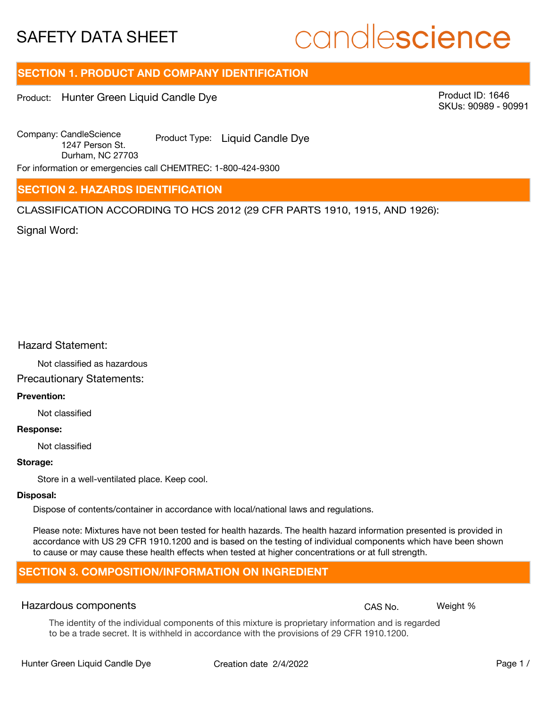# candlescience

# **SECTION 1. PRODUCT AND COMPANY IDENTIFICATION**

Product: Hunter Green Liquid Candle Dye

Product ID: 1646 SKUs: 90989 - 90991

Company: Candle Science Product Type: Liquid Candle Dye 1247 Person St. Durham, NC 27703

For information or emergencies call CHEMTREC: 1-800-424-9300

# **SECTION 2. HAZARDS IDENTIFICATION**

CLASSIFICATION ACCORDING TO HCS 2012 (29 CFR PARTS 1910, 1915, AND 1926):

Signal Word:

## Hazard Statement:

Not classified as hazardous

# Precautionary Statements:

### **Prevention:**

Not classified

#### **Response:**

Not classified

#### **Storage:**

Store in a well-ventilated place. Keep cool.

#### **Disposal:**

Dispose of contents/container in accordance with local/national laws and regulations.

Please note: Mixtures have not been tested for health hazards. The health hazard information presented is provided in accordance with US 29 CFR 1910.1200 and is based on the testing of individual components which have been shown to cause or may cause these health effects when tested at higher concentrations or at full strength.

# **SECTION 3. COMPOSITION/INFORMATION ON INGREDIENT**

## Hazardous components **CAS No. Weight %** and CAS No. Weight %

The identity of the individual components of this mixture is proprietary information and is regarded to be a trade secret. It is withheld in accordance with the provisions of 29 CFR 1910.1200.

Hunter Green Liquid Candle Dye Creation date  $2/4/2022$  Page 1 /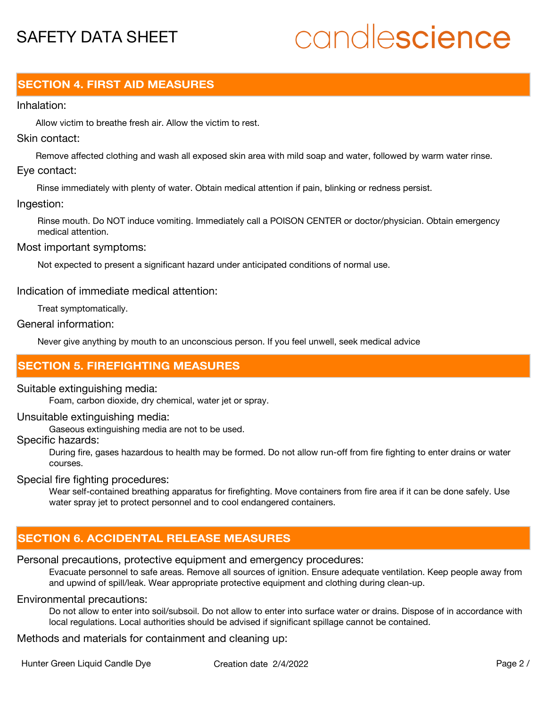# candlescience

# **SECTION 4. FIRST AID MEASURES**

### Inhalation:

Allow victim to breathe fresh air. Allow the victim to rest.

# Skin contact:

Remove affected clothing and wash all exposed skin area with mild soap and water, followed by warm water rinse. Eye contact:

Rinse immediately with plenty of water. Obtain medical attention if pain, blinking or redness persist.

### Ingestion:

Rinse mouth. Do NOT induce vomiting. Immediately call a POISON CENTER or doctor/physician. Obtain emergency medical attention.

Most important symptoms:

Not expected to present a significant hazard under anticipated conditions of normal use.

Indication of immediate medical attention:

Treat symptomatically.

General information:

Never give anything by mouth to an unconscious person. If you feel unwell, seek medical advice

# **SECTION 5. FIREFIGHTING MEASURES**

## Suitable extinguishing media:

Foam, carbon dioxide, dry chemical, water jet or spray.

Unsuitable extinguishing media:

Gaseous extinguishing media are not to be used.

Specific hazards:

During fire, gases hazardous to health may be formed. Do not allow run-off from fire fighting to enter drains or water courses.

Special fire fighting procedures:

Wear self-contained breathing apparatus for firefighting. Move containers from fire area if it can be done safely. Use water spray jet to protect personnel and to cool endangered containers.

# **SECTION 6. ACCIDENTAL RELEASE MEASURES**

## Personal precautions, protective equipment and emergency procedures:

Evacuate personnel to safe areas. Remove all sources of ignition. Ensure adequate ventilation. Keep people away from and upwind of spill/leak. Wear appropriate protective equipment and clothing during clean-up.

## Environmental precautions:

Do not allow to enter into soil/subsoil. Do not allow to enter into surface water or drains. Dispose of in accordance with local regulations. Local authorities should be advised if significant spillage cannot be contained.

Methods and materials for containment and cleaning up: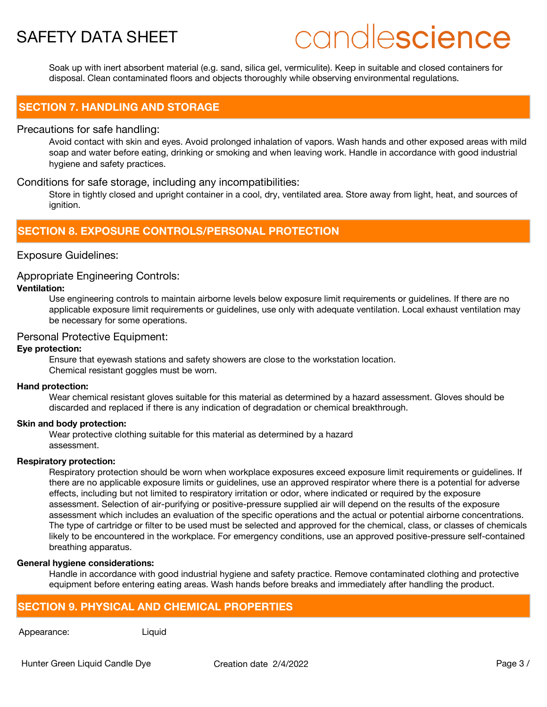# candlescience

Soak up with inert absorbent material (e.g. sand, silica gel, vermiculite). Keep in suitable and closed containers for disposal. Clean contaminated floors and objects thoroughly while observing environmental regulations.

# **SECTION 7. HANDLING AND STORAGE**

### Precautions for safe handling:

Avoid contact with skin and eyes. Avoid prolonged inhalation of vapors. Wash hands and other exposed areas with mild soap and water before eating, drinking or smoking and when leaving work. Handle in accordance with good industrial hygiene and safety practices.

## Conditions for safe storage, including any incompatibilities:

Store in tightly closed and upright container in a cool, dry, ventilated area. Store away from light, heat, and sources of ignition.

# **SECTION 8. EXPOSURE CONTROLS/PERSONAL PROTECTION**

# Exposure Guidelines:

## Appropriate Engineering Controls:

### **Ventilation:**

Use engineering controls to maintain airborne levels below exposure limit requirements or guidelines. If there are no applicable exposure limit requirements or guidelines, use only with adequate ventilation. Local exhaust ventilation may be necessary for some operations.

### Personal Protective Equipment:

#### **Eye protection:**

Ensure that eyewash stations and safety showers are close to the workstation location. Chemical resistant goggles must be worn.

#### **Hand protection:**

Wear chemical resistant gloves suitable for this material as determined by a hazard assessment. Gloves should be discarded and replaced if there is any indication of degradation or chemical breakthrough.

#### **Skin and body protection:**

Wear protective clothing suitable for this material as determined by a hazard assessment.

#### **Respiratory protection:**

Respiratory protection should be worn when workplace exposures exceed exposure limit requirements or guidelines. If there are no applicable exposure limits or guidelines, use an approved respirator where there is a potential for adverse effects, including but not limited to respiratory irritation or odor, where indicated or required by the exposure assessment. Selection of air-purifying or positive-pressure supplied air will depend on the results of the exposure assessment which includes an evaluation of the specific operations and the actual or potential airborne concentrations. The type of cartridge or filter to be used must be selected and approved for the chemical, class, or classes of chemicals likely to be encountered in the workplace. For emergency conditions, use an approved positive-pressure self-contained breathing apparatus.

#### **General hygiene considerations:**

Handle in accordance with good industrial hygiene and safety practice. Remove contaminated clothing and protective equipment before entering eating areas. Wash hands before breaks and immediately after handling the product.

# **SECTION 9. PHYSICAL AND CHEMICAL PROPERTIES**

Appearance: Liquid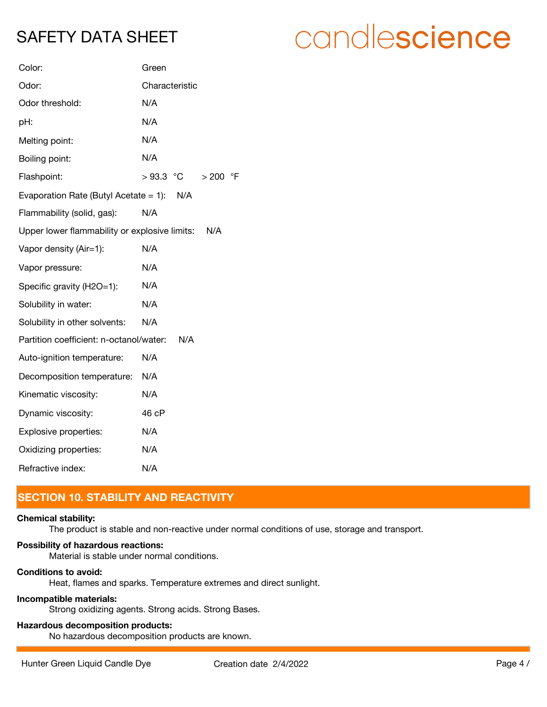| candlescience |  |  |
|---------------|--|--|
|               |  |  |

| Color:                                               | Green               |  |
|------------------------------------------------------|---------------------|--|
| Odor:                                                | Characteristic      |  |
| Odor threshold:                                      | N/A                 |  |
| pH:                                                  | N/A                 |  |
| Melting point:                                       | N/A                 |  |
| Boiling point:                                       | N/A                 |  |
| Flashpoint:                                          | $>93.3$ °C<br>> 200 |  |
| Evaporation Rate (Butyl Acetate = 1): $N/A$          |                     |  |
| Flammability (solid, gas):                           | N/A                 |  |
| Upper lower flammability or explosive limits:<br>N/A |                     |  |
| Vapor density (Air=1):                               | N/A                 |  |
| Vapor pressure:                                      | N/A                 |  |
| Specific gravity (H2O=1):                            | N/A                 |  |
| Solubility in water:                                 | N/A                 |  |
| Solubility in other solvents:                        | N/A                 |  |
| Partition coefficient: n-octanol/water:              | N/A                 |  |
| Auto-ignition temperature:                           | N/A                 |  |
| Decomposition temperature:                           | N/A                 |  |
| Kinematic viscosity:                                 | N/A                 |  |
| Dynamic viscosity:                                   | 46 cP               |  |
| Explosive properties:                                | N/A                 |  |
| Oxidizing properties:                                | N/A                 |  |
| Refractive index:                                    | N/A                 |  |

# **SECTION 10. STABILITY AND REACTIVITY**

#### **Chemical stability:**

The product is stable and non-reactive under normal conditions of use, storage and transport.

 $\circ$ F

### **Possibility of hazardous reactions:**

Material is stable under normal conditions.

# **Conditions to avoid:**

Heat, flames and sparks. Temperature extremes and direct sunlight.

# **Incompatible materials:**

Strong oxidizing agents. Strong acids. Strong Bases.

# **Hazardous decomposition products:**

No hazardous decomposition products are known.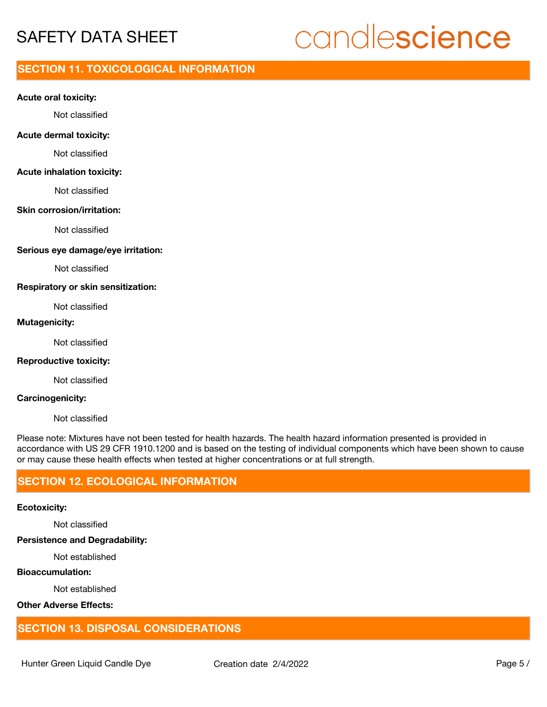# candlescience

# **SECTION 11. TOXICOLOGICAL INFORMATION**

#### **Acute oral toxicity:**

Not classified

#### **Acute dermal toxicity:**

Not classified

#### **Acute inhalation toxicity:**

Not classified

#### **Skin corrosion/irritation:**

Not classified

#### **Serious eye damage/eye irritation:**

Not classified

#### **Respiratory or skin sensitization:**

Not classified

# **Mutagenicity:**

Not classified

#### **Reproductive toxicity:**

Not classified

#### **Carcinogenicity:**

Not classified

Please note: Mixtures have not been tested for health hazards. The health hazard information presented is provided in accordance with US 29 CFR 1910.1200 and is based on the testing of individual components which have been shown to cause or may cause these health effects when tested at higher concentrations or at full strength.

# **SECTION 12. ECOLOGICAL INFORMATION**

#### **Ecotoxicity:**

Not classified

#### **Persistence and Degradability:**

Not established

### **Bioaccumulation:**

Not established

# **Other Adverse Effects:**

# **SECTION 13. DISPOSAL CONSIDERATIONS**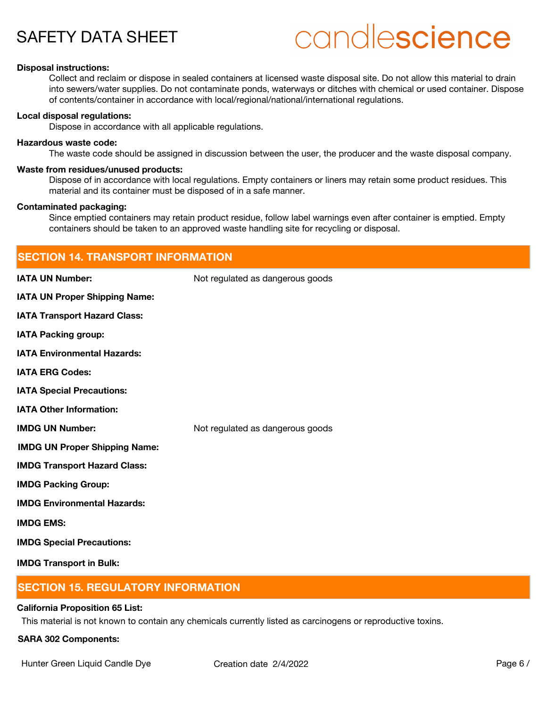# candlescience

#### **Disposal instructions:**

Collect and reclaim or dispose in sealed containers at licensed waste disposal site. Do not allow this material to drain into sewers/water supplies. Do not contaminate ponds, waterways or ditches with chemical or used container. Dispose of contents/container in accordance with local/regional/national/international regulations.

#### **Local disposal regulations:**

Dispose in accordance with all applicable regulations.

#### **Hazardous waste code:**

The waste code should be assigned in discussion between the user, the producer and the waste disposal company.

#### **Waste from residues/unused products:**

Dispose of in accordance with local regulations. Empty containers or liners may retain some product residues. This material and its container must be disposed of in a safe manner.

#### **Contaminated packaging:**

Since emptied containers may retain product residue, follow label warnings even after container is emptied. Empty containers should be taken to an approved waste handling site for recycling or disposal.

| <b>SECTION 14. TRANSPORT INFORMATION</b> |                                  |  |
|------------------------------------------|----------------------------------|--|
| <b>IATA UN Number:</b>                   | Not regulated as dangerous goods |  |
| IATA UN Proper Shipping Name:            |                                  |  |
| <b>IATA Transport Hazard Class:</b>      |                                  |  |
| <b>IATA Packing group:</b>               |                                  |  |
| <b>IATA Environmental Hazards:</b>       |                                  |  |
| <b>IATA ERG Codes:</b>                   |                                  |  |
| <b>IATA Special Precautions:</b>         |                                  |  |
| <b>IATA Other Information:</b>           |                                  |  |
| <b>IMDG UN Number:</b>                   | Not regulated as dangerous goods |  |
| <b>IMDG UN Proper Shipping Name:</b>     |                                  |  |
| <b>IMDG Transport Hazard Class:</b>      |                                  |  |
| <b>IMDG Packing Group:</b>               |                                  |  |
| <b>IMDG Environmental Hazards:</b>       |                                  |  |
| <b>IMDG EMS:</b>                         |                                  |  |
| <b>IMDG Special Precautions:</b>         |                                  |  |
| <b>IMDG Transport in Bulk:</b>           |                                  |  |

# **SECTION 15. REGULATORY INFORMATION**

#### **California Proposition 65 List:**

This material is not known to contain any chemicals currently listed as carcinogens or reproductive toxins.

#### **SARA 302 Components:**

Hunter Green Liquid Candle Dye Creation date  $2/4/2022$  Page 6 /